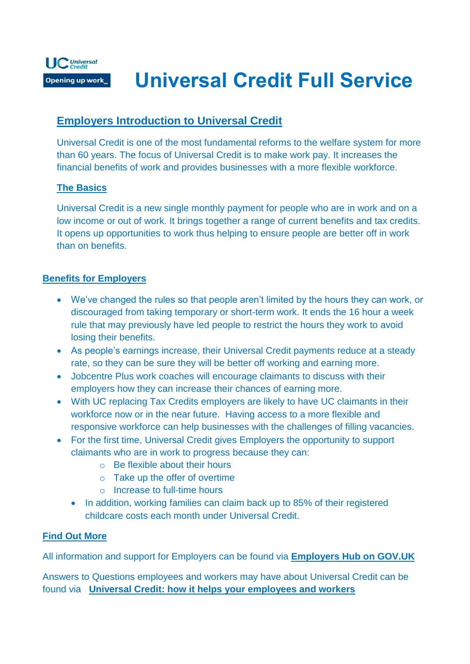

# **Universal Credit Full Service**

### **Employers Introduction to Universal Credit**

Universal Credit is one of the most fundamental reforms to the welfare system for more than 60 years. The focus of Universal Credit is to make work pay. It increases the financial benefits of work and provides businesses with a more flexible workforce.

#### **The Basics**

Universal Credit is a new single monthly payment for people who are in work and on a low income or out of work. It brings together a range of current benefits and tax credits. It opens up opportunities to work thus helping to ensure people are better off in work than on benefits.

#### **Benefits for Employers**

- We've changed the rules so that people aren't limited by the hours they can work, or discouraged from taking temporary or short-term work. It ends the 16 hour a week rule that may previously have led people to restrict the hours they work to avoid losing their benefits.
- As people's earnings increase, their Universal Credit payments reduce at a steady rate, so they can be sure they will be better off working and earning more.
- Jobcentre Plus work coaches will encourage claimants to discuss with their employers how they can increase their chances of earning more.
- With UC replacing Tax Credits employers are likely to have UC claimants in their workforce now or in the near future. Having access to a more flexible and responsive workforce can help businesses with the challenges of filling vacancies.
- For the first time, Universal Credit gives Employers the opportunity to support claimants who are in work to progress because they can:
	- o Be flexible about their hours
	- o Take up the offer of overtime
	- o Increase to full-time hours
	- In addition, working families can claim back up to 85% of their registered childcare costs each month under Universal Credit.

#### **Find Out More**

All information and support for Employers can be found via **[Employers Hub on GOV.UK](https://www.gov.uk/guidance/universal-credit-how-it-can-help-your-business?utm_source=Staff&utm_medium=Internal&utm_campaign=UC2015)**

Answers to Questions employees and workers may have about Universal Credit can be found via **[Universal Credit: how it helps your employees and workers](https://www.gov.uk/government/publications/universal-credit-how-it-helps-your-employees-and-workers)**